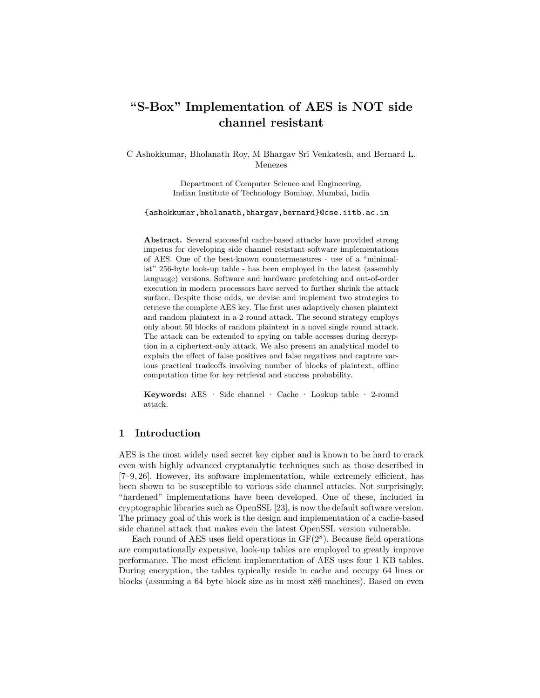# **"S-Box" Implementation of AES is NOT side channel resistant**

C Ashokkumar, Bholanath Roy, M Bhargav Sri Venkatesh, and Bernard L. Menezes

> Department of Computer Science and Engineering, Indian Institute of Technology Bombay, Mumbai, India

{ashokkumar,bholanath,bhargav,bernard}@cse.iitb.ac.in

**Abstract.** Several successful cache-based attacks have provided strong impetus for developing side channel resistant software implementations of AES. One of the best-known countermeasures - use of a "minimalist" 256-byte look-up table - has been employed in the latest (assembly language) versions. Software and hardware prefetching and out-of-order execution in modern processors have served to further shrink the attack surface. Despite these odds, we devise and implement two strategies to retrieve the complete AES key. The first uses adaptively chosen plaintext and random plaintext in a 2-round attack. The second strategy employs only about 50 blocks of random plaintext in a novel single round attack. The attack can be extended to spying on table accesses during decryption in a ciphertext-only attack. We also present an analytical model to explain the effect of false positives and false negatives and capture various practical tradeoffs involving number of blocks of plaintext, offline computation time for key retrieval and success probability.

**Keywords:** AES · Side channel · Cache · Lookup table · 2-round attack.

# **1 Introduction**

AES is the most widely used secret key cipher and is known to be hard to crack even with highly advanced cryptanalytic techniques such as those described in [7–9, 26]. However, its software implementation, while extremely efficient, has been shown to be susceptible to various side channel attacks. Not surprisingly, "hardened" implementations have been developed. One of these, included in cryptographic libraries such as OpenSSL [23], is now the default software version. The primary goal of this work is the design and implementation of a cache-based side channel attack that makes even the latest OpenSSL version vulnerable.

Each round of AES uses field operations in  $GF(2<sup>8</sup>)$ . Because field operations are computationally expensive, look-up tables are employed to greatly improve performance. The most efficient implementation of AES uses four 1 KB tables. During encryption, the tables typically reside in cache and occupy 64 lines or blocks (assuming a 64 byte block size as in most x86 machines). Based on even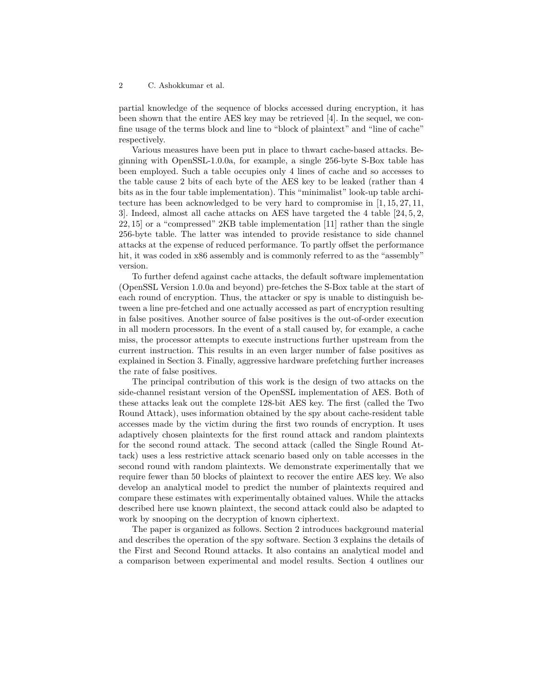partial knowledge of the sequence of blocks accessed during encryption, it has been shown that the entire AES key may be retrieved [4]. In the sequel, we confine usage of the terms block and line to "block of plaintext" and "line of cache" respectively.

Various measures have been put in place to thwart cache-based attacks. Beginning with OpenSSL-1.0.0a, for example, a single 256-byte S-Box table has been employed. Such a table occupies only 4 lines of cache and so accesses to the table cause 2 bits of each byte of the AES key to be leaked (rather than 4 bits as in the four table implementation). This "minimalist" look-up table architecture has been acknowledged to be very hard to compromise in [1, 15, 27, 11, 3]. Indeed, almost all cache attacks on AES have targeted the 4 table [24, 5, 2, 22, 15] or a "compressed" 2KB table implementation [11] rather than the single 256-byte table. The latter was intended to provide resistance to side channel attacks at the expense of reduced performance. To partly offset the performance hit, it was coded in x86 assembly and is commonly referred to as the "assembly" version.

To further defend against cache attacks, the default software implementation (OpenSSL Version 1.0.0a and beyond) pre-fetches the S-Box table at the start of each round of encryption. Thus, the attacker or spy is unable to distinguish between a line pre-fetched and one actually accessed as part of encryption resulting in false positives. Another source of false positives is the out-of-order execution in all modern processors. In the event of a stall caused by, for example, a cache miss, the processor attempts to execute instructions further upstream from the current instruction. This results in an even larger number of false positives as explained in Section 3. Finally, aggressive hardware prefetching further increases the rate of false positives.

The principal contribution of this work is the design of two attacks on the side-channel resistant version of the OpenSSL implementation of AES. Both of these attacks leak out the complete 128-bit AES key. The first (called the Two Round Attack), uses information obtained by the spy about cache-resident table accesses made by the victim during the first two rounds of encryption. It uses adaptively chosen plaintexts for the first round attack and random plaintexts for the second round attack. The second attack (called the Single Round Attack) uses a less restrictive attack scenario based only on table accesses in the second round with random plaintexts. We demonstrate experimentally that we require fewer than 50 blocks of plaintext to recover the entire AES key. We also develop an analytical model to predict the number of plaintexts required and compare these estimates with experimentally obtained values. While the attacks described here use known plaintext, the second attack could also be adapted to work by snooping on the decryption of known ciphertext.

The paper is organized as follows. Section 2 introduces background material and describes the operation of the spy software. Section 3 explains the details of the First and Second Round attacks. It also contains an analytical model and a comparison between experimental and model results. Section 4 outlines our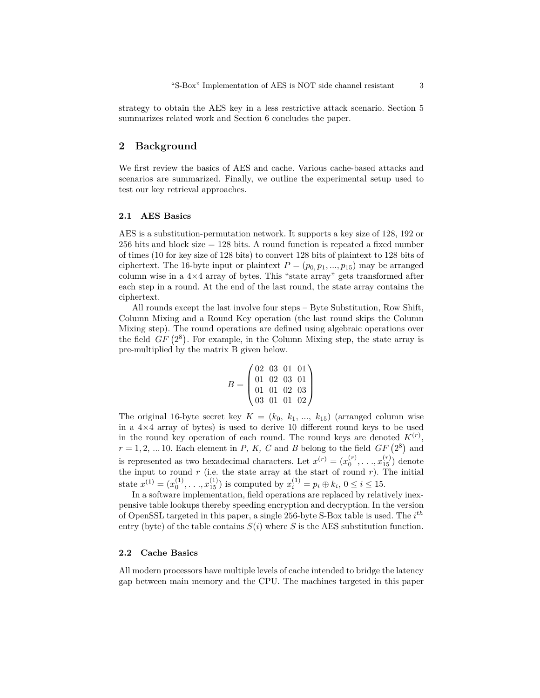strategy to obtain the AES key in a less restrictive attack scenario. Section 5 summarizes related work and Section 6 concludes the paper.

# **2 Background**

We first review the basics of AES and cache. Various cache-based attacks and scenarios are summarized. Finally, we outline the experimental setup used to test our key retrieval approaches.

#### **2.1 AES Basics**

AES is a substitution-permutation network. It supports a key size of 128, 192 or 256 bits and block size = 128 bits. A round function is repeated a fixed number of times (10 for key size of 128 bits) to convert 128 bits of plaintext to 128 bits of ciphertext. The 16-byte input or plaintext  $P = (p_0, p_1, ..., p_{15})$  may be arranged column wise in a 4*×*4 array of bytes. This "state array" gets transformed after each step in a round. At the end of the last round, the state array contains the ciphertext.

All rounds except the last involve four steps – Byte Substitution, Row Shift, Column Mixing and a Round Key operation (the last round skips the Column Mixing step). The round operations are defined using algebraic operations over the field  $GF(2^8)$ . For example, in the Column Mixing step, the state array is pre-multiplied by the matrix B given below.

$$
B = \begin{pmatrix} 02 & 03 & 01 & 01 \\ 01 & 02 & 03 & 01 \\ 01 & 01 & 02 & 03 \\ 03 & 01 & 01 & 02 \end{pmatrix}
$$

The original 16-byte secret key  $K = (k_0, k_1, ..., k_{15})$  (arranged column wise in a 4*×*4 array of bytes) is used to derive 10 different round keys to be used in the round key operation of each round. The round keys are denoted  $K^{(r)}$ ,  $r = 1, 2, \dots 10$ . Each element in *P, K, C* and *B* belong to the field *GF*  $(2^8)$  and is represented as two hexadecimal characters. Let  $x^{(r)} = (x_0^{(r)}, \ldots, x_{15}^{(r)})$  denote the input to round  $r$  (i.e. the state array at the start of round  $r$ ). The initial state  $x^{(1)} = (x_0^{(1)}, \ldots, x_{15}^{(1)})$  is computed by  $x_i^{(1)} = p_i \oplus k_i, 0 \le i \le 15$ .

In a software implementation, field operations are replaced by relatively inexpensive table lookups thereby speeding encryption and decryption. In the version of OpenSSL targeted in this paper, a single 256-byte S-Box table is used. The *i th* entry (byte) of the table contains  $S(i)$  where  $S$  is the AES substitution function.

#### **2.2 Cache Basics**

All modern processors have multiple levels of cache intended to bridge the latency gap between main memory and the CPU. The machines targeted in this paper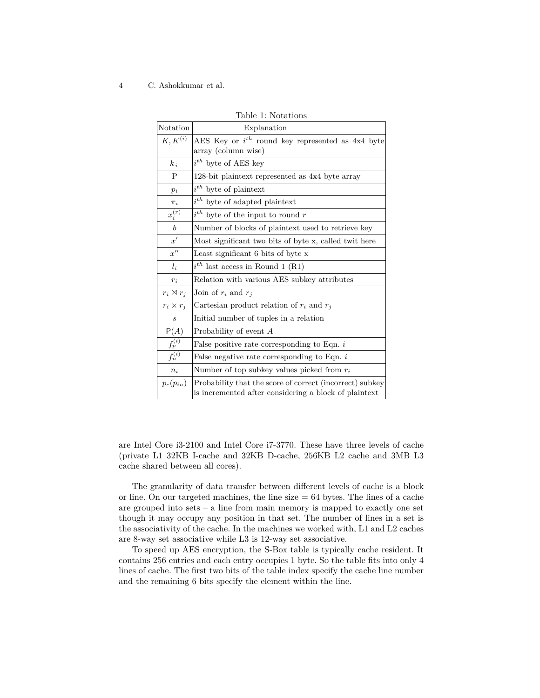| Notation            | Explanation                                                                                                       |  |  |  |  |  |  |  |  |  |
|---------------------|-------------------------------------------------------------------------------------------------------------------|--|--|--|--|--|--|--|--|--|
| $K, K^{(i)}$        | AES Key or $i^{th}$ round key represented as 4x4 byte                                                             |  |  |  |  |  |  |  |  |  |
|                     | array (column wise)                                                                                               |  |  |  |  |  |  |  |  |  |
| $k_i$               | $i^{th}$ byte of AES key                                                                                          |  |  |  |  |  |  |  |  |  |
| P                   | 128-bit plaintext represented as 4x4 byte array                                                                   |  |  |  |  |  |  |  |  |  |
| $p_i$               | $i^{th}$ byte of plaintext                                                                                        |  |  |  |  |  |  |  |  |  |
| $\pi_i$             | $i^{th}$ byte of adapted plaintext                                                                                |  |  |  |  |  |  |  |  |  |
| $x_i^{(r)}$         | $i^{th}$ byte of the input to round r                                                                             |  |  |  |  |  |  |  |  |  |
| $\boldsymbol{b}$    | Number of blocks of plaintext used to retrieve key                                                                |  |  |  |  |  |  |  |  |  |
| x'                  | Most significant two bits of byte x, called twit here                                                             |  |  |  |  |  |  |  |  |  |
| $x^{\prime\prime}$  | Least significant 6 bits of byte x                                                                                |  |  |  |  |  |  |  |  |  |
| $l_i$               | $i^{th}$ last access in Round 1 (R1)                                                                              |  |  |  |  |  |  |  |  |  |
| $r_i$               | Relation with various AES subkey attributes                                                                       |  |  |  |  |  |  |  |  |  |
| $r_i \boxtimes r_i$ | Join of $r_i$ and $r_i$                                                                                           |  |  |  |  |  |  |  |  |  |
| $r_i \times r_j$    | Cartesian product relation of $r_i$ and $r_j$                                                                     |  |  |  |  |  |  |  |  |  |
| $\boldsymbol{s}$    | Initial number of tuples in a relation                                                                            |  |  |  |  |  |  |  |  |  |
| P(A)                | Probability of event $A$                                                                                          |  |  |  |  |  |  |  |  |  |
| $f_p^{(i)}$         | False positive rate corresponding to Eqn. $i$                                                                     |  |  |  |  |  |  |  |  |  |
| $f_n^{(i)}$         | False negative rate corresponding to Eqn. $i$                                                                     |  |  |  |  |  |  |  |  |  |
| $n_i$               | Number of top subkey values picked from $r_i$                                                                     |  |  |  |  |  |  |  |  |  |
| $p_c(p_{in})$       | Probability that the score of correct (incorrect) subkey<br>is incremented after considering a block of plaintext |  |  |  |  |  |  |  |  |  |

Table 1: Notations

are Intel Core i3-2100 and Intel Core i7-3770. These have three levels of cache (private L1 32KB I-cache and 32KB D-cache, 256KB L2 cache and 3MB L3 cache shared between all cores).

The granularity of data transfer between different levels of cache is a block or line. On our targeted machines, the line size  $= 64$  bytes. The lines of a cache are grouped into sets  $-$  a line from main memory is mapped to exactly one set though it may occupy any position in that set. The number of lines in a set is the associativity of the cache. In the machines we worked with, L1 and L2 caches are 8-way set associative while L3 is 12-way set associative.

To speed up AES encryption, the S-Box table is typically cache resident. It contains 256 entries and each entry occupies 1 byte. So the table fits into only 4 lines of cache. The first two bits of the table index specify the cache line number and the remaining 6 bits specify the element within the line.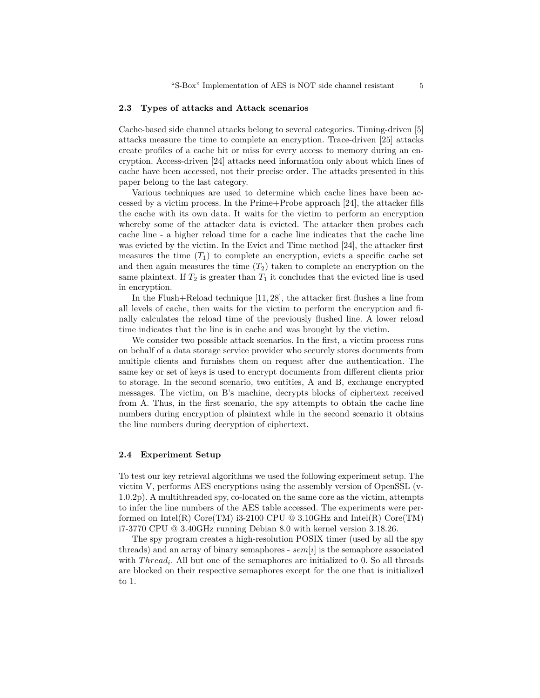#### **2.3 Types of attacks and Attack scenarios**

Cache-based side channel attacks belong to several categories. Timing-driven [5] attacks measure the time to complete an encryption. Trace-driven [25] attacks create profiles of a cache hit or miss for every access to memory during an encryption. Access-driven [24] attacks need information only about which lines of cache have been accessed, not their precise order. The attacks presented in this paper belong to the last category.

Various techniques are used to determine which cache lines have been accessed by a victim process. In the Prime+Probe approach [24], the attacker fills the cache with its own data. It waits for the victim to perform an encryption whereby some of the attacker data is evicted. The attacker then probes each cache line - a higher reload time for a cache line indicates that the cache line was evicted by the victim. In the Evict and Time method [24], the attacker first measures the time  $(T_1)$  to complete an encryption, evicts a specific cache set and then again measures the time  $(T_2)$  taken to complete an encryption on the same plaintext. If  $T_2$  is greater than  $T_1$  it concludes that the evicted line is used in encryption.

In the Flush+Reload technique [11, 28], the attacker first flushes a line from all levels of cache, then waits for the victim to perform the encryption and finally calculates the reload time of the previously flushed line. A lower reload time indicates that the line is in cache and was brought by the victim.

We consider two possible attack scenarios. In the first, a victim process runs on behalf of a data storage service provider who securely stores documents from multiple clients and furnishes them on request after due authentication. The same key or set of keys is used to encrypt documents from different clients prior to storage. In the second scenario, two entities, A and B, exchange encrypted messages. The victim, on B's machine, decrypts blocks of ciphertext received from A. Thus, in the first scenario, the spy attempts to obtain the cache line numbers during encryption of plaintext while in the second scenario it obtains the line numbers during decryption of ciphertext.

### **2.4 Experiment Setup**

To test our key retrieval algorithms we used the following experiment setup. The victim V, performs AES encryptions using the assembly version of OpenSSL (v-1.0.2p). A multithreaded spy, co-located on the same core as the victim, attempts to infer the line numbers of the AES table accessed. The experiments were performed on Intel(R) Core(TM) i3-2100 CPU  $@$  3.10GHz and Intel(R) Core(TM) i7-3770 CPU @ 3.40GHz running Debian 8.0 with kernel version 3.18.26.

The spy program creates a high-resolution POSIX timer (used by all the spy threads) and an array of binary semaphores - *sem*[*i*] is the semaphore associated with *Thread<sub>i</sub>*. All but one of the semaphores are initialized to 0. So all threads are blocked on their respective semaphores except for the one that is initialized to 1.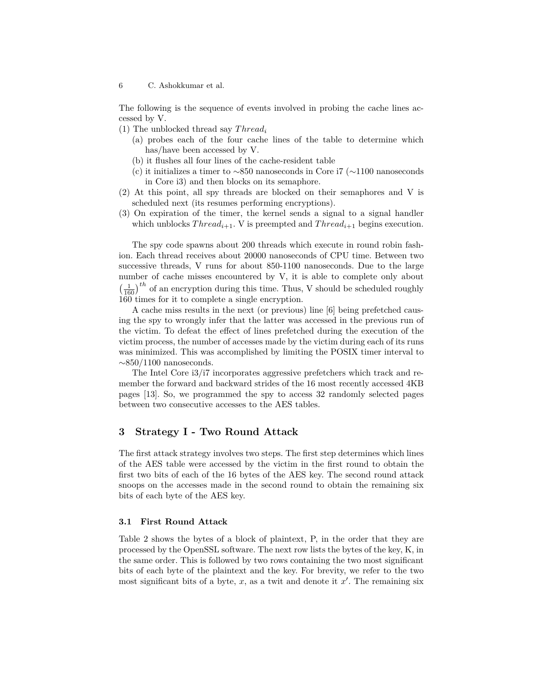The following is the sequence of events involved in probing the cache lines accessed by V.

(1) The unblocked thread say *T hread<sup>i</sup>*

- (a) probes each of the four cache lines of the table to determine which has/have been accessed by V.
- (b) it flushes all four lines of the cache-resident table
- (c) it initializes a timer to *∼*850 nanoseconds in Core i7 (*∼*1100 nanoseconds in Core i3) and then blocks on its semaphore.
- (2) At this point, all spy threads are blocked on their semaphores and V is scheduled next (its resumes performing encryptions).
- (3) On expiration of the timer, the kernel sends a signal to a signal handler which unblocks  $Thread_{i+1}$ . V is preempted and  $Thread_{i+1}$  begins execution.

The spy code spawns about 200 threads which execute in round robin fashion. Each thread receives about 20000 nanoseconds of CPU time. Between two successive threads, V runs for about 850-1100 nanoseconds. Due to the large number of cache misses encountered by V, it is able to complete only about  $\left(\frac{1}{160}\right)^{th}$  of an encryption during this time. Thus, V should be scheduled roughly 160 times for it to complete a single encryption.

A cache miss results in the next (or previous) line [6] being prefetched causing the spy to wrongly infer that the latter was accessed in the previous run of the victim. To defeat the effect of lines prefetched during the execution of the victim process, the number of accesses made by the victim during each of its runs was minimized. This was accomplished by limiting the POSIX timer interval to *∼*850/1100 nanoseconds.

The Intel Core i3/i7 incorporates aggressive prefetchers which track and remember the forward and backward strides of the 16 most recently accessed 4KB pages [13]. So, we programmed the spy to access 32 randomly selected pages between two consecutive accesses to the AES tables.

# **3 Strategy I - Two Round Attack**

The first attack strategy involves two steps. The first step determines which lines of the AES table were accessed by the victim in the first round to obtain the first two bits of each of the 16 bytes of the AES key. The second round attack snoops on the accesses made in the second round to obtain the remaining six bits of each byte of the AES key.

### **3.1 First Round Attack**

Table 2 shows the bytes of a block of plaintext, P, in the order that they are processed by the OpenSSL software. The next row lists the bytes of the key, K, in the same order. This is followed by two rows containing the two most significant bits of each byte of the plaintext and the key. For brevity, we refer to the two most significant bits of a byte, *x*, as a twit and denote it *x ′* . The remaining six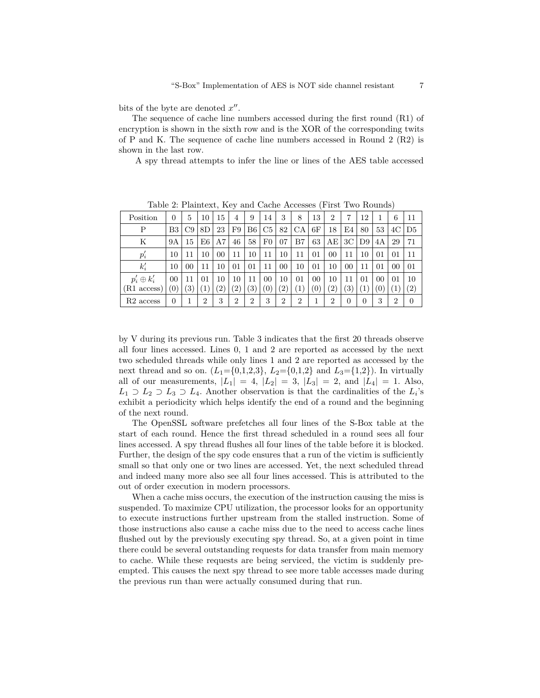bits of the byte are denoted *x ′′* .

The sequence of cache line numbers accessed during the first round (R1) of encryption is shown in the sixth row and is the XOR of the corresponding twits of P and K. The sequence of cache line numbers accessed in Round 2  $(R2)$  is shown in the last row.

A spy thread attempts to infer the line or lines of the AES table accessed

| $\frac{1}{2}$ and $\frac{1}{2}$ and $\frac{1}{2}$ and $\frac{1}{2}$ and $\frac{1}{2}$ and $\frac{1}{2}$ and $\frac{1}{2}$ and $\frac{1}{2}$ and $\frac{1}{2}$ |                  |    |    |                 |                   |                 |                |                |                |        |                   |    |    |    |                |                   |
|---------------------------------------------------------------------------------------------------------------------------------------------------------------|------------------|----|----|-----------------|-------------------|-----------------|----------------|----------------|----------------|--------|-------------------|----|----|----|----------------|-------------------|
| Position                                                                                                                                                      | 0                | 5  | 10 | 15              | 4                 | 9               | 14             | 3              | 8              | 13     | $\overline{2}$    |    | 12 |    | 6              | 11                |
| P                                                                                                                                                             | B3               | C9 | 8D | 23              | F9                | B6 <sup>1</sup> | C <sub>5</sub> | 82             | CA             | 6F     | 18                | E4 | 80 | 53 | 4C             | D5                |
| Κ                                                                                                                                                             | 9Α               | 15 | E6 | A7              | 46                | 58              | $_{\rm F0}$    | 07             | B7             | 63     | AE                | 3C | D9 | 4Α | 29             | 71                |
| $p_i$                                                                                                                                                         | 10               | 11 | 10 | 00 <sup>1</sup> | 11                | 10              | 11             | 10             | 11             | 01     | 00                | 11 | 10 | 01 | 01             | 11                |
| $k_i'$                                                                                                                                                        | 10               | 00 | 11 | 10              | 01                | 01              | 11             | 00             | 10             | 01     | 10                | 00 | 11 | 01 | 00             | 01                |
| $p_i' \oplus k_i'$                                                                                                                                            | 00               | 11 | 01 | 10              | 10                | 11              | 00             | 10             | 01             | $00\,$ | 10                | 11 | 01 | 00 | 01             | 10                |
| $(R1 \text{ access})$                                                                                                                                         | $\left(0\right)$ |    |    | $^{\prime}2)$   | $\left( 2\right)$ | (3)             | 0)             | $^{\prime}2$   | (1             | 0      | $\left( 2\right)$ | ΄3 |    | Ό  |                | $\left( 2\right)$ |
| $R2$ access                                                                                                                                                   | 0                |    | 2  | 3               | $\overline{2}$    | $\overline{2}$  | 3              | $\overline{2}$ | $\overline{2}$ |        | $\overline{2}$    | 0  | 0  | 3  | $\overline{2}$ | $\theta$          |

Table 2: Plaintext, Key and Cache Accesses (First Two Rounds)

by V during its previous run. Table 3 indicates that the first 20 threads observe all four lines accessed. Lines 0, 1 and 2 are reported as accessed by the next two scheduled threads while only lines 1 and 2 are reported as accessed by the next thread and so on.  $(L_1 = \{0,1,2,3\}, L_2 = \{0,1,2\}$  and  $L_3 = \{1,2\})$ . In virtually all of our measurements,  $|L_1| = 4$ ,  $|L_2| = 3$ ,  $|L_3| = 2$ , and  $|L_4| = 1$ . Also,  $L_1$  *⊃*  $L_2$  *⊃*  $L_3$  *⊃*  $L_4$ . Another observation is that the cardinalities of the  $L_i$ 's exhibit a periodicity which helps identify the end of a round and the beginning of the next round.

The OpenSSL software prefetches all four lines of the S-Box table at the start of each round. Hence the first thread scheduled in a round sees all four lines accessed. A spy thread flushes all four lines of the table before it is blocked. Further, the design of the spy code ensures that a run of the victim is sufficiently small so that only one or two lines are accessed. Yet, the next scheduled thread and indeed many more also see all four lines accessed. This is attributed to the out of order execution in modern processors.

When a cache miss occurs, the execution of the instruction causing the miss is suspended. To maximize CPU utilization, the processor looks for an opportunity to execute instructions further upstream from the stalled instruction. Some of those instructions also cause a cache miss due to the need to access cache lines flushed out by the previously executing spy thread. So, at a given point in time there could be several outstanding requests for data transfer from main memory to cache. While these requests are being serviced, the victim is suddenly preempted. This causes the next spy thread to see more table accesses made during the previous run than were actually consumed during that run.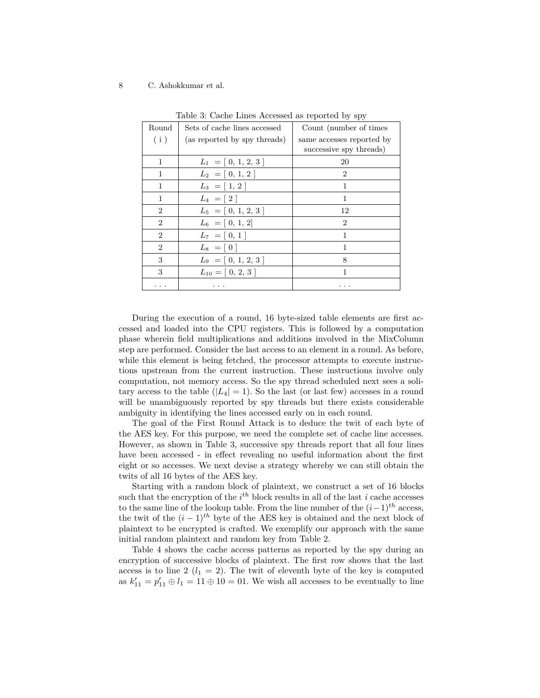| Round          | Sets of cache lines accessed | Count (number of times)   |
|----------------|------------------------------|---------------------------|
| (i)            | (as reported by spy threads) | same accesses reported by |
|                |                              | successive spy threads)   |
| 1              | $L_1 = [0, 1, 2, 3]$         | 20                        |
| 1              | $L_2 = [0, 1, 2]$            | $\overline{2}$            |
| 1              | $L_3 = [1, 2]$               | 1                         |
| 1              | $L_4 = [2]$                  | 1                         |
| $\overline{2}$ | $L_5 = [0, 1, 2, 3]$         | 12                        |
| $\overline{2}$ | $L_6 = [0, 1, 2]$            | $\overline{2}$            |
| $\overline{2}$ | $L_7 = [0, 1]$               | 1                         |
| $\overline{2}$ | $L_8 = [0]$                  | 1                         |
| 3              | $L_9 = [0, 1, 2, 3]$         | 8                         |
| 3              | $L_{10} = [0, 2, 3]$         | 1                         |
|                |                              |                           |

Table 3: Cache Lines Accessed as reported by spy

During the execution of a round, 16 byte-sized table elements are first accessed and loaded into the CPU registers. This is followed by a computation phase wherein field multiplications and additions involved in the MixColumn step are performed. Consider the last access to an element in a round. As before, while this element is being fetched, the processor attempts to execute instructions upstream from the current instruction. These instructions involve only computation, not memory access. So the spy thread scheduled next sees a solitary access to the table  $(|L_4| = 1)$ . So the last (or last few) accesses in a round will be unambiguously reported by spy threads but there exists considerable ambiguity in identifying the lines accessed early on in each round.

The goal of the First Round Attack is to deduce the twit of each byte of the AES key. For this purpose, we need the complete set of cache line accesses. However, as shown in Table 3, successive spy threads report that all four lines have been accessed - in effect revealing no useful information about the first eight or so accesses. We next devise a strategy whereby we can still obtain the twits of all 16 bytes of the AES key.

Starting with a random block of plaintext, we construct a set of 16 blocks such that the encryption of the  $i^{th}$  block results in all of the last  $i$  cache accesses to the same line of the lookup table. From the line number of the  $(i-1)$ <sup>th</sup> access, the twit of the  $(i-1)^{th}$  byte of the AES key is obtained and the next block of plaintext to be encrypted is crafted. We exemplify our approach with the same initial random plaintext and random key from Table 2.

Table 4 shows the cache access patterns as reported by the spy during an encryption of successive blocks of plaintext. The first row shows that the last access is to line 2  $(l_1 = 2)$ . The twit of eleventh byte of the key is computed as  $k'_{11} = p'_{11} \oplus l_1 = 11 \oplus 10 = 01$ . We wish all accesses to be eventually to line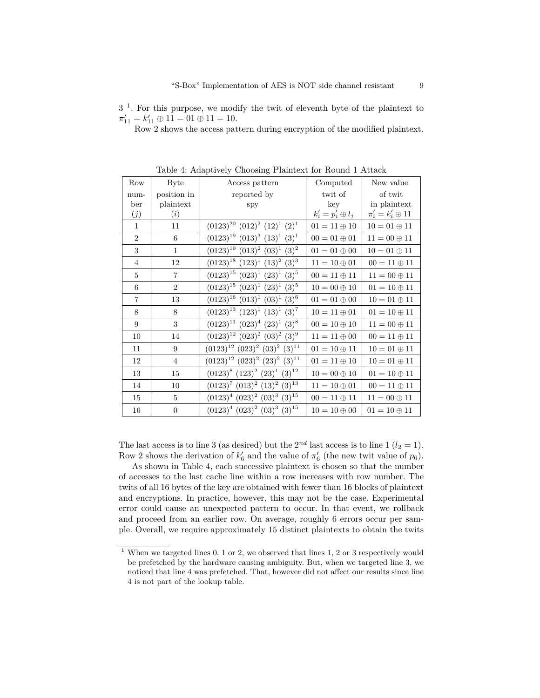$3<sup>1</sup>$ . For this purpose, we modify the twit of eleventh byte of the plaintext to  $\pi'_{11} = k'_{11} \oplus 11 = 01 \oplus 11 = 10.$ 

Row 2 shows the access pattern during encryption of the modified plaintext.

| Row            | <b>Byte</b>    | Access pattern                                  | Computed                 | New value                 |
|----------------|----------------|-------------------------------------------------|--------------------------|---------------------------|
| num-           | position in    | reported by                                     | twit of                  | of twit                   |
| ber            | plaintext      | spy                                             | $\mathrm{kev}$           | in plaintext              |
| (j)            | (i)            |                                                 | $k'_i = p'_i \oplus l_j$ | $\pi'_i = k'_i \oplus 11$ |
| 1              | 11             | $(0123)^{20}$ $(012)^2$ $(12)^1$ $(2)^1$        | $01 = 11 \oplus 10$      | $10 = 01 \oplus 11$       |
| $\overline{2}$ | 6              | $(0123)^{19}$ $(013)^3$ $(13)^1$ $(3)^1$        | $00=01\oplus 01$         | $11=00\oplus 11$          |
| 3              | $\mathbf{1}$   | $(0123)^{19}$ $(013)^{2}$ $(03)^{1}$ $(3)^{2}$  | $01=01\oplus 00$         | $10 = 01 \oplus 11$       |
| $\overline{4}$ | 12             | $(0123)^{18}$ $(123)^{1}$ $(13)^{2}$ $(3)^{3}$  | $11 = 10 \oplus 01$      | $00 = 11 \oplus 11$       |
| 5              | $\overline{7}$ | $(0123)^{15}$ $(023)^{1}$ $(23)^{1}$ $(3)^{5}$  | $00 = 11 \oplus 11$      | $11 = 00 \oplus 11$       |
| 6              | $\overline{2}$ | $(0123)^{15}$ $(023)^{1}$ $(23)^{1}$ $(3)^{5}$  | $10 = 00 \oplus 10$      | $01 = 10 \oplus 11$       |
| $\overline{7}$ | 13             | $(0123)^{16}$ $(013)^{1}$ $(03)^{1}$ $(3)^{6}$  | $01=01\oplus 00$         | $10 = 01 \oplus 11$       |
| 8              | 8              | $(0123)^{13}$ $(123)^{1}$ $(13)^{1}$ $(3)^{7}$  | $10 = 11 \oplus 01$      | $01=10\oplus 11$          |
| 9              | 3              | $(0123)^{11}$ $(023)^{4}$ $(23)^{1}$ $(3)^{8}$  | $00 = 10 \oplus 10$      | $11 = 00 \oplus 11$       |
| 10             | 14             | $(0123)^{12}$ $(023)^{2}$ $(03)^{2}$ $(3)^{9}$  | $11 = 11 \oplus 00$      | $00=11\oplus 11$          |
| 11             | 9              | $(0123)^{12}$ $(023)^{2}$ $(03)^{2}$ $(3)^{11}$ | $01 = 10 \oplus 11$      | $10 = 01 \oplus 11$       |
| 12             | $\overline{4}$ | $(0123)^{12}$ $(023)^{2}$ $(23)^{2}$ $(3)^{11}$ | $01=11\oplus 10$         | $10 = 01 \oplus 11$       |
| 13             | 15             | $(0123)^8$ $(123)^2$ $(23)^1$ $(3)^{12}$        | $10=00\oplus 10$         | $01 = 10 \oplus 11$       |
| 14             | 10             | $(0123)^7$ $(013)^2$ $(13)^2$ $(3)^{13}$        | $11 = 10 \oplus 01$      | $00 = 11 \oplus 11$       |
| 15             | $\overline{5}$ | $(0123)^4$ $(023)^2$ $(03)^3$ $(3)^{15}$        | $00 = 11 \oplus 11$      | $11 = 00 \oplus 11$       |
| 16             | $\theta$       | $(0123)^4$ $(023)^2$ $(03)^3$ $(3)^{15}$        | $10 = 10 \oplus 00$      | $01 = 10 \oplus 11$       |

Table 4: Adaptively Choosing Plaintext for Round 1 Attack

The last access is to line 3 (as desired) but the  $2^{nd}$  last access is to line 1 ( $l_2 = 1$ ). Row 2 shows the derivation of  $k'_6$  and the value of  $\pi'_6$  (the new twit value of  $p_6$ ).

As shown in Table 4, each successive plaintext is chosen so that the number of accesses to the last cache line within a row increases with row number. The twits of all 16 bytes of the key are obtained with fewer than 16 blocks of plaintext and encryptions. In practice, however, this may not be the case. Experimental error could cause an unexpected pattern to occur. In that event, we rollback and proceed from an earlier row. On average, roughly 6 errors occur per sample. Overall, we require approximately 15 distinct plaintexts to obtain the twits

 $1$  When we targeted lines 0, 1 or 2, we observed that lines 1, 2 or 3 respectively would be prefetched by the hardware causing ambiguity. But, when we targeted line 3, we noticed that line 4 was prefetched. That, however did not affect our results since line 4 is not part of the lookup table.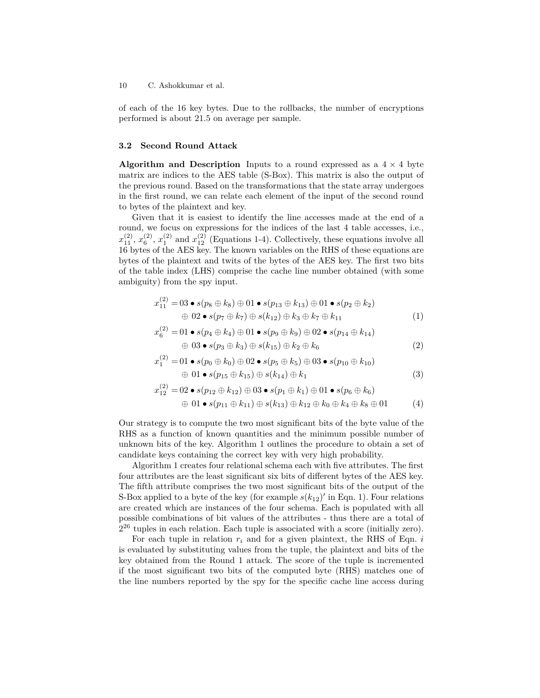of each of the 16 key bytes. Due to the rollbacks, the number of encryptions performed is about 21*.*5 on average per sample.

#### **3.2 Second Round Attack**

**Algorithm and Description** Inputs to a round expressed as a  $4 \times 4$  byte matrix are indices to the AES table (S-Box). This matrix is also the output of the previous round. Based on the transformations that the state array undergoes in the first round, we can relate each element of the input of the second round to bytes of the plaintext and key.

Given that it is easiest to identify the line accesses made at the end of a round, we focus on expressions for the indices of the last 4 table accesses, i.e.,  $x_{11}^{(2)}$ ,  $x_6^{(2)}$ ,  $x_1^{(2)}$  and  $x_{12}^{(2)}$  (Equations 1-4). Collectively, these equations involve all 16 bytes of the AES key. The known variables on the RHS of these equations are bytes of the plaintext and twits of the bytes of the AES key. The first two bits of the table index (LHS) comprise the cache line number obtained (with some ambiguity) from the spy input.

$$
x_{11}^{(2)} = 03 \bullet s(p_8 \oplus k_8) \oplus 01 \bullet s(p_{13} \oplus k_{13}) \oplus 01 \bullet s(p_2 \oplus k_2)
$$
  

$$
\oplus 02 \bullet s(p_7 \oplus k_7) \oplus s(k_{12}) \oplus k_3 \oplus k_7 \oplus k_{11}
$$
 (1)

$$
x_6^{(2)} = 01 \bullet s(p_4 \oplus k_4) \oplus 01 \bullet s(p_9 \oplus k_9) \oplus 02 \bullet s(p_{14} \oplus k_{14})
$$
  

$$
\oplus 03 \bullet s(p_3 \oplus k_3) \oplus s(k_{15}) \oplus k_2 \oplus k_6
$$
 (2)

$$
x_1^{(2)} = 01 \bullet s(p_0 \oplus k_0) \oplus 02 \bullet s(p_5 \oplus k_5) \oplus 03 \bullet s(p_{10} \oplus k_{10}) \oplus 01 \bullet s(p_{15} \oplus k_{15}) \oplus s(k_{14}) \oplus k_1
$$
\n(3)

$$
x_{12}^{(2)} = 02 \bullet s(p_{12} \oplus k_{12}) \oplus 03 \bullet s(p_1 \oplus k_1) \oplus 01 \bullet s(p_6 \oplus k_6)
$$
  

$$
\oplus 01 \bullet s(p_{11} \oplus k_{11}) \oplus s(k_{13}) \oplus k_{12} \oplus k_0 \oplus k_4 \oplus k_8 \oplus 01
$$
 (4)

Our strategy is to compute the two most significant bits of the byte value of the RHS as a function of known quantities and the minimum possible number of unknown bits of the key. Algorithm 1 outlines the procedure to obtain a set of candidate keys containing the correct key with very high probability.

Algorithm 1 creates four relational schema each with five attributes. The first four attributes are the least significant six bits of different bytes of the AES key. The fifth attribute comprises the two most significant bits of the output of the S-Box applied to a byte of the key (for example  $s(k_{12})'$  in Eqn. 1). Four relations are created which are instances of the four schema. Each is populated with all possible combinations of bit values of the attributes - thus there are a total of 2 <sup>26</sup> tuples in each relation. Each tuple is associated with a score (initially zero).

For each tuple in relation *r<sup>i</sup>* and for a given plaintext, the RHS of Eqn. *i* is evaluated by substituting values from the tuple, the plaintext and bits of the key obtained from the Round 1 attack. The score of the tuple is incremented if the most significant two bits of the computed byte (RHS) matches one of the line numbers reported by the spy for the specific cache line access during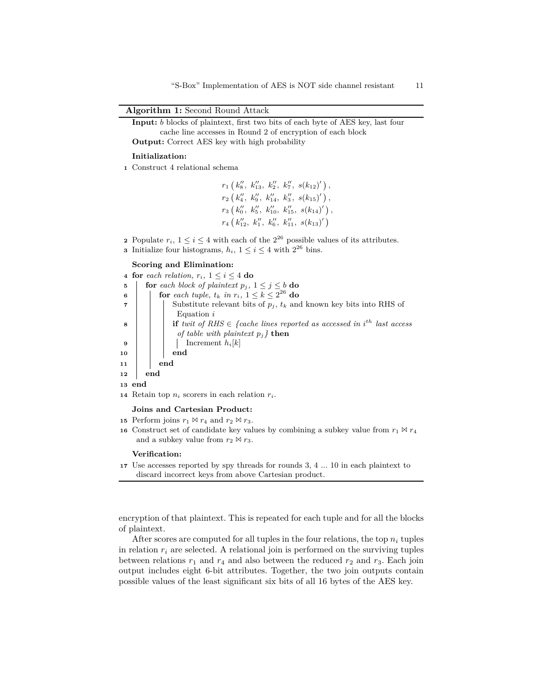"S-Box" Implementation of AES is NOT side channel resistant 11

**Algorithm 1:** Second Round Attack

```
Input: b blocks of plaintext, first two bits of each byte of AES key, last four
       cache line accesses in Round 2 of encryption of each block
Output: Correct AES key with high probability
```
#### **Initialization:**

**<sup>1</sup>** Construct 4 relational schema

 $r_1(k_8'', k_{13}'', k_2'', k_7'', s(k_{12})')$  $r_2\left(k''_4, k''_9, k''_{14}, k''_3, s(k_{15})'\right),$  $r_3\left(k_0'', k_5'', k_{10}'', k_{15}'', s(k_{14})'\right),$  $r_4\left(k_{12}'', k_{1}'', k_{6}'', k_{11}'', s(k_{13})'\right)$ 

- **2** Populate  $r_i$ ,  $1 \leq i \leq 4$  with each of the  $2^{26}$  possible values of its attributes.
- **3** Initialize four histograms,  $h_i$ ,  $1 \leq i \leq 4$  with  $2^{26}$  bins.

#### **Scoring and Elimination:**

|                              |     | 4 for each relation, $r_i$ , $1 \leq i \leq 4$ do                                                                                                                                                                                                                                                                                                                                                                                                                                                                                                         |  |  |  |  |  |  |  |  |
|------------------------------|-----|-----------------------------------------------------------------------------------------------------------------------------------------------------------------------------------------------------------------------------------------------------------------------------------------------------------------------------------------------------------------------------------------------------------------------------------------------------------------------------------------------------------------------------------------------------------|--|--|--|--|--|--|--|--|
|                              |     |                                                                                                                                                                                                                                                                                                                                                                                                                                                                                                                                                           |  |  |  |  |  |  |  |  |
|                              |     |                                                                                                                                                                                                                                                                                                                                                                                                                                                                                                                                                           |  |  |  |  |  |  |  |  |
|                              |     |                                                                                                                                                                                                                                                                                                                                                                                                                                                                                                                                                           |  |  |  |  |  |  |  |  |
|                              |     | $\begin{array}{c} \text{13} \\ \begin{array}{c} \begin{array}{c} \begin{array}{c} \begin{array}{c} \begin{array}{c} \end{array} \\ \begin{array}{c} \end{array} \\ \begin{array}{c} \end{array} \\ \begin{array}{c} \end{array} \\ \begin{array}{c} \end{array} \\ \begin{array}{c} \end{array} \\ \begin{array}{c} \end{array} \\ \begin{array}{c} \end{array} \\ \begin{array}{c} \end{array} \\ \begin{array}{c} \end{array} \\ \begin{array}{c} \end{array} \\ \begin{array}{c} \end{array} \\ \begin{array}{c} \end{array} \\ \begin{array}{c} \end$ |  |  |  |  |  |  |  |  |
|                              |     |                                                                                                                                                                                                                                                                                                                                                                                                                                                                                                                                                           |  |  |  |  |  |  |  |  |
|                              |     |                                                                                                                                                                                                                                                                                                                                                                                                                                                                                                                                                           |  |  |  |  |  |  |  |  |
|                              |     |                                                                                                                                                                                                                                                                                                                                                                                                                                                                                                                                                           |  |  |  |  |  |  |  |  |
|                              |     |                                                                                                                                                                                                                                                                                                                                                                                                                                                                                                                                                           |  |  |  |  |  |  |  |  |
|                              |     |                                                                                                                                                                                                                                                                                                                                                                                                                                                                                                                                                           |  |  |  |  |  |  |  |  |
| $\overline{12}$              | end |                                                                                                                                                                                                                                                                                                                                                                                                                                                                                                                                                           |  |  |  |  |  |  |  |  |
| 13 end                       |     |                                                                                                                                                                                                                                                                                                                                                                                                                                                                                                                                                           |  |  |  |  |  |  |  |  |
|                              |     | 14 Retain top $n_i$ scorers in each relation $r_i$ .                                                                                                                                                                                                                                                                                                                                                                                                                                                                                                      |  |  |  |  |  |  |  |  |
| Joins and Cartesian Product: |     |                                                                                                                                                                                                                                                                                                                                                                                                                                                                                                                                                           |  |  |  |  |  |  |  |  |

- **15** Perform joins  $r_1 \bowtie r_4$  and  $r_2 \bowtie r_3$ .
- **16** Construct set of candidate key values by combining a subkey value from  $r_1 \bowtie r_4$ and a subkey value from  $r_2 \bowtie r_3$ .

#### **Verification:**

**<sup>17</sup>** Use accesses reported by spy threads for rounds 3, 4 ... 10 in each plaintext to discard incorrect keys from above Cartesian product.

encryption of that plaintext. This is repeated for each tuple and for all the blocks of plaintext.

After scores are computed for all tuples in the four relations, the top *n<sup>i</sup>* tuples in relation  $r_i$  are selected. A relational join is performed on the surviving tuples between relations  $r_1$  and  $r_4$  and also between the reduced  $r_2$  and  $r_3$ . Each join output includes eight 6-bit attributes. Together, the two join outputs contain possible values of the least significant six bits of all 16 bytes of the AES key.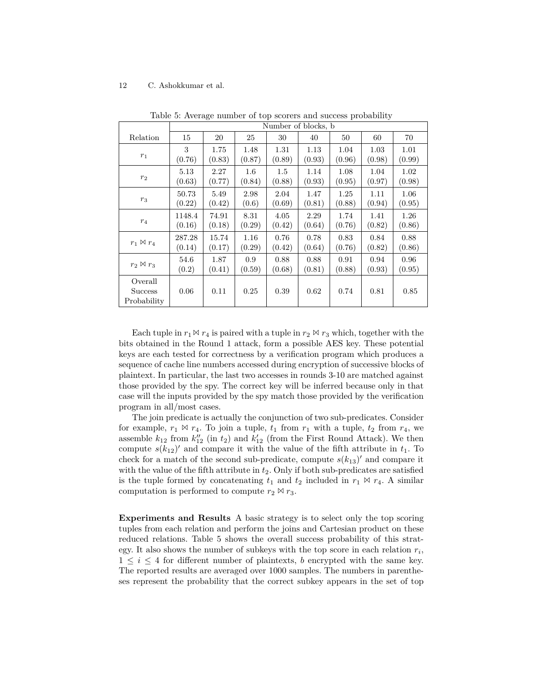|                                          | Number of blocks, b |        |        |        |        |        |        |        |  |  |
|------------------------------------------|---------------------|--------|--------|--------|--------|--------|--------|--------|--|--|
| Relation                                 | 15                  | 20     | 25     | 30     | 40     | 50     | 60     | 70     |  |  |
| $r_1$                                    | 3                   | 1.75   | 1.48   | 1.31   | 1.13   | 1.04   | 1.03   | 1.01   |  |  |
|                                          | (0.76)              | (0.83) | (0.87) | (0.89) | (0.93) | (0.96) | (0.98) | (0.99) |  |  |
| $r_2$                                    | 5.13                | 2.27   | 1.6    | 1.5    | 1.14   | 1.08   | 1.04   | 1.02   |  |  |
|                                          | (0.63)              | (0.77) | (0.84) | (0.88) | (0.93) | (0.95) | (0.97) | (0.98) |  |  |
| $r_3$                                    | 50.73               | 5.49   | 2.98   | 2.04   | 1.47   | 1.25   | 1.11   | 1.06   |  |  |
|                                          | (0.22)              | (0.42) | (0.6)  | (0.69) | (0.81) | (0.88) | (0.94) | (0.95) |  |  |
| $r_4$                                    | 1148.4              | 74.91  | 8.31   | 4.05   | 2.29   | 1.74   | 1.41   | 1.26   |  |  |
|                                          | (0.16)              | (0.18) | (0.29) | (0.42) | (0.64) | (0.76) | (0.82) | (0.86) |  |  |
| $r_1 \boxtimes r_4$                      | 287.28              | 15.74  | 1.16   | 0.76   | 0.78   | 0.83   | 0.84   | 0.88   |  |  |
|                                          | (0.14)              | (0.17) | (0.29) | (0.42) | (0.64) | (0.76) | (0.82) | (0.86) |  |  |
| $r_2 \bowtie r_3$                        | 54.6                | 1.87   | 0.9    | 0.88   | 0.88   | 0.91   | 0.94   | 0.96   |  |  |
|                                          | (0.2)               | (0.41) | (0.59) | (0.68) | (0.81) | (0.88) | (0.93) | (0.95) |  |  |
| Overall<br><b>Success</b><br>Probability | 0.06                | 0.11   | 0.25   | 0.39   | 0.62   | 0.74   | 0.81   | 0.85   |  |  |

Table 5: Average number of top scorers and success probability

Each tuple in  $r_1 \bowtie r_4$  is paired with a tuple in  $r_2 \bowtie r_3$  which, together with the bits obtained in the Round 1 attack, form a possible AES key. These potential keys are each tested for correctness by a verification program which produces a sequence of cache line numbers accessed during encryption of successive blocks of plaintext. In particular, the last two accesses in rounds 3-10 are matched against those provided by the spy. The correct key will be inferred because only in that case will the inputs provided by the spy match those provided by the verification program in all/most cases.

The join predicate is actually the conjunction of two sub-predicates. Consider for example,  $r_1 \bowtie r_4$ . To join a tuple,  $t_1$  from  $r_1$  with a tuple,  $t_2$  from  $r_4$ , we assemble  $k_{12}$  from  $k''_{12}$  (in  $t_2$ ) and  $k'_{12}$  (from the First Round Attack). We then compute  $s(k_{12})'$  and compare it with the value of the fifth attribute in  $t_1$ . To check for a match of the second sub-predicate, compute  $s(k_{13})'$  and compare it with the value of the fifth attribute in  $t_2$ . Only if both sub-predicates are satisfied is the tuple formed by concatenating  $t_1$  and  $t_2$  included in  $r_1 \bowtie r_4$ . A similar computation is performed to compute  $r_2 \bowtie r_3$ .

**Experiments and Results** A basic strategy is to select only the top scoring tuples from each relation and perform the joins and Cartesian product on these reduced relations. Table 5 shows the overall success probability of this strategy. It also shows the number of subkeys with the top score in each relation  $r_i$ , 1 *≤ i ≤* 4 for different number of plaintexts, *b* encrypted with the same key. The reported results are averaged over 1000 samples. The numbers in parentheses represent the probability that the correct subkey appears in the set of top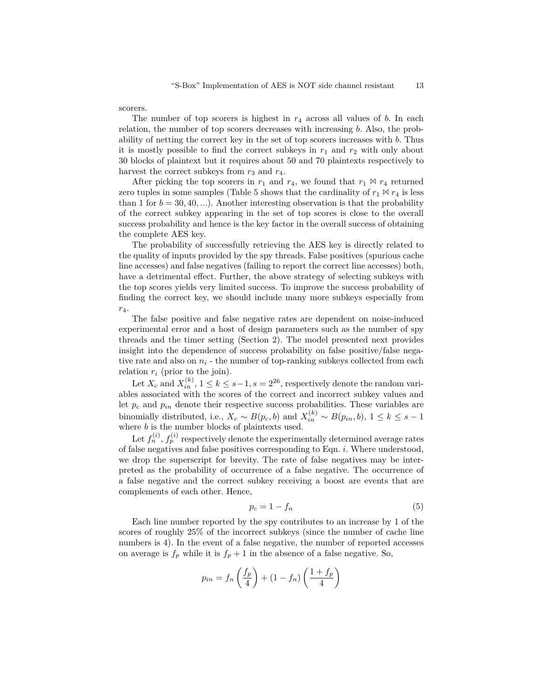scorers.

The number of top scorers is highest in *r*<sup>4</sup> across all values of *b*. In each relation, the number of top scorers decreases with increasing *b*. Also, the probability of netting the correct key in the set of top scorers increases with *b*. Thus it is mostly possible to find the correct subkeys in  $r_1$  and  $r_2$  with only about 30 blocks of plaintext but it requires about 50 and 70 plaintexts respectively to harvest the correct subkeys from  $r_3$  and  $r_4$ .

After picking the top scorers in  $r_1$  and  $r_4$ , we found that  $r_1 \bowtie r_4$  returned zero tuples in some samples (Table 5 shows that the cardinality of  $r_1 \bowtie r_4$  is less than 1 for  $b = 30, 40, \ldots$ ). Another interesting observation is that the probability of the correct subkey appearing in the set of top scores is close to the overall success probability and hence is the key factor in the overall success of obtaining the complete AES key.

The probability of successfully retrieving the AES key is directly related to the quality of inputs provided by the spy threads. False positives (spurious cache line accesses) and false negatives (failing to report the correct line accesses) both, have a detrimental effect. Further, the above strategy of selecting subkeys with the top scores yields very limited success. To improve the success probability of finding the correct key, we should include many more subkeys especially from *r*4.

The false positive and false negative rates are dependent on noise-induced experimental error and a host of design parameters such as the number of spy threads and the timer setting (Section 2). The model presented next provides insight into the dependence of success probability on false positive/false negative rate and also on  $n_i$  - the number of top-ranking subkeys collected from each relation  $r_i$  (prior to the join).

Let  $X_c$  and  $X_{in}^{(k)}$ ,  $1 \le k \le s-1$ ,  $s = 2^{26}$ , respectively denote the random variables associated with the scores of the correct and incorrect subkey values and let  $p_c$  and  $p_{in}$  denote their respective success probabilities. These variables are binomially distributed, i.e.,  $X_c \sim B(p_c, b)$  and  $X_{in}^{(k)} \sim B(p_{in}, b)$ ,  $1 \leq k \leq s - 1$ where *b* is the number blocks of plaintexts used.

Let  $f_n^{(i)}$ ,  $f_p^{(i)}$  respectively denote the experimentally determined average rates of false negatives and false positives corresponding to Eqn. *i*. Where understood, we drop the superscript for brevity. The rate of false negatives may be interpreted as the probability of occurrence of a false negative. The occurrence of a false negative and the correct subkey receiving a boost are events that are complements of each other. Hence,

$$
p_c = 1 - f_n \tag{5}
$$

Each line number reported by the spy contributes to an increase by 1 of the scores of roughly 25% of the incorrect subkeys (since the number of cache line numbers is 4). In the event of a false negative, the number of reported accesses on average is  $f_p$  while it is  $f_p + 1$  in the absence of a false negative. So,

$$
p_{in} = f_n\left(\frac{f_p}{4}\right) + (1 - f_n)\left(\frac{1 + f_p}{4}\right)
$$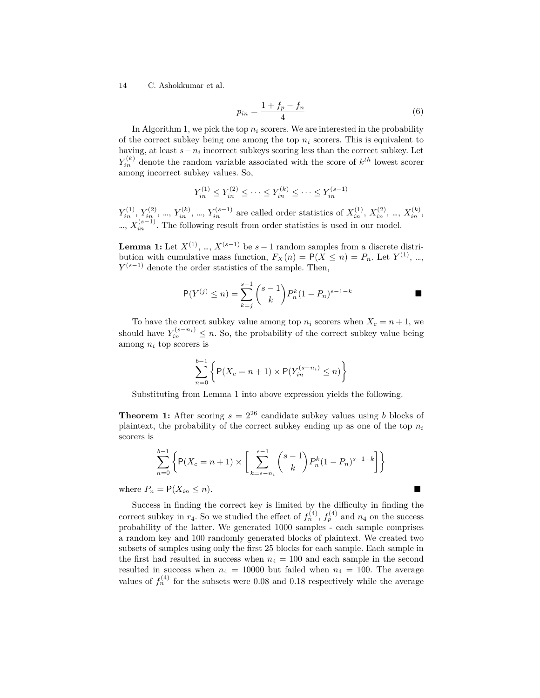$$
p_{in} = \frac{1 + f_p - f_n}{4} \tag{6}
$$

In Algorithm 1, we pick the top  $n_i$  scorers. We are interested in the probability of the correct subkey being one among the top  $n_i$  scorers. This is equivalent to having, at least  $s - n_i$  incorrect subkeys scoring less than the correct subkey. Let  $Y_{in}^{(k)}$  denote the random variable associated with the score of  $k^{th}$  lowest scorer among incorrect subkey values. So,

$$
Y_{in}^{(1)} \le Y_{in}^{(2)} \le \cdots \le Y_{in}^{(k)} \le \cdots \le Y_{in}^{(s-1)}
$$

 $Y_{in}^{(1)}$ ,  $Y_{in}^{(2)}$ , ...,  $Y_{in}^{(k)}$ , ...,  $Y_{in}^{(s-1)}$  are called order statistics of  $X_{in}^{(1)}$ ,  $X_{in}^{(2)}$ , ...,  $X_{in}^{(k)}$ , …,  $X_{in}^{(s-1)}$ . The following result from order statistics is used in our model.

**Lemma 1:** Let  $X^{(1)}$ , …,  $X^{(s-1)}$  be  $s-1$  random samples from a discrete distribution with cumulative mass function,  $F_X(n) = P(X \le n) = P_n$ . Let  $Y^{(1)}$ , ..., *Y*<sup>(*s*−1)</sup> denote the order statistics of the sample. Then,

$$
P(Y^{(j)} \le n) = \sum_{k=j}^{s-1} {s-1 \choose k} P_n^k (1 - P_n)^{s-1-k}
$$

To have the correct subkey value among top  $n_i$  scorers when  $X_c = n + 1$ , we should have  $Y_{in}^{(s-n_i)} \leq n$ . So, the probability of the correct subkey value being among *n<sup>i</sup>* top scorers is

$$
\sum_{n=0}^{b-1} \left\{ \mathsf{P}(X_c = n+1) \times \mathsf{P}(Y_{in}^{(s-n_i)} \le n) \right\}
$$

Substituting from Lemma 1 into above expression yields the following.

**Theorem 1:** After scoring  $s = 2^{26}$  candidate subkey values using *b* blocks of plaintext, the probability of the correct subkey ending up as one of the top  $n_i$ scorers is

$$
\sum_{n=0}^{b-1} \left\{ P(X_c = n+1) \times \left[ \sum_{k=s-n_i}^{s-1} {s-1 \choose k} P_n^k (1-P_n)^{s-1-k} \right] \right\}
$$

where  $P_n = P(X_{in} \leq n)$ .

Success in finding the correct key is limited by the difficulty in finding the correct subkey in  $r_4$ . So we studied the effect of  $f_n^{(4)}$ ,  $f_p^{(4)}$  and  $n_4$  on the success probability of the latter. We generated 1000 samples - each sample comprises a random key and 100 randomly generated blocks of plaintext. We created two subsets of samples using only the first 25 blocks for each sample. Each sample in the first had resulted in success when  $n_4 = 100$  and each sample in the second resulted in success when  $n_4 = 10000$  but failed when  $n_4 = 100$ . The average values of  $f_n^{(4)}$  for the subsets were 0.08 and 0.18 respectively while the average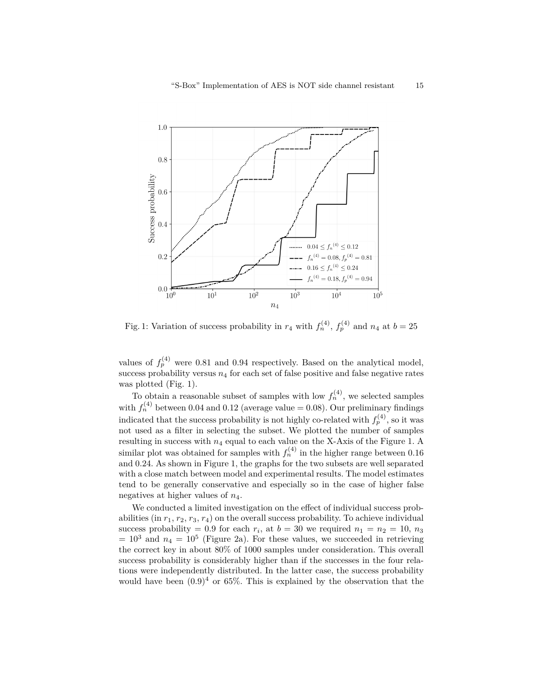

Fig. 1: Variation of success probability in  $r_4$  with  $f_n^{(4)}$ ,  $f_p^{(4)}$  and  $n_4$  at  $b=25$ 

values of  $f_p^{(4)}$  were 0.81 and 0.94 respectively. Based on the analytical model, success probability versus  $n_4$  for each set of false positive and false negative rates was plotted (Fig. 1).

To obtain a reasonable subset of samples with low  $f_n^{(4)}$ , we selected samples with  $f_n^{(4)}$  between 0.04 and 0.12 (average value  $= 0.08$ ). Our preliminary findings indicated that the success probability is not highly co-related with  $f_p^{(4)}$ , so it was not used as a filter in selecting the subset. We plotted the number of samples resulting in success with *n*<sup>4</sup> equal to each value on the X-Axis of the Figure 1. A similar plot was obtained for samples with  $f_n^{(4)}$  in the higher range between 0.16 and 0.24. As shown in Figure 1, the graphs for the two subsets are well separated with a close match between model and experimental results. The model estimates tend to be generally conservative and especially so in the case of higher false negatives at higher values of *n*4.

We conducted a limited investigation on the effect of individual success probabilities (in  $r_1, r_2, r_3, r_4$ ) on the overall success probability. To achieve individual success probability = 0.9 for each  $r_i$ , at  $b = 30$  we required  $n_1 = n_2 = 10$ ,  $n_3$  $= 10<sup>3</sup>$  and  $n_4 = 10<sup>5</sup>$  (Figure 2a). For these values, we succeeded in retrieving the correct key in about 80% of 1000 samples under consideration. This overall success probability is considerably higher than if the successes in the four relations were independently distributed. In the latter case, the success probability would have been  $(0.9)^4$  or 65%. This is explained by the observation that the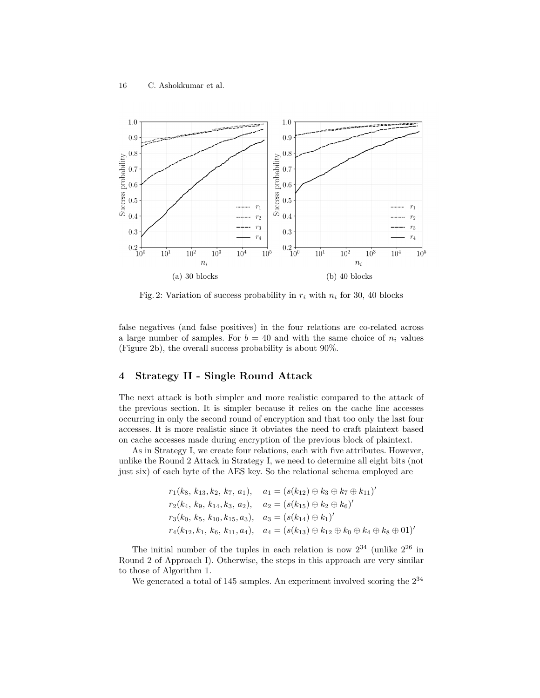

Fig. 2: Variation of success probability in  $r_i$  with  $n_i$  for 30, 40 blocks

false negatives (and false positives) in the four relations are co-related across a large number of samples. For  $b = 40$  and with the same choice of  $n_i$  values (Figure 2b), the overall success probability is about 90%.

# **4 Strategy II - Single Round Attack**

The next attack is both simpler and more realistic compared to the attack of the previous section. It is simpler because it relies on the cache line accesses occurring in only the second round of encryption and that too only the last four accesses. It is more realistic since it obviates the need to craft plaintext based on cache accesses made during encryption of the previous block of plaintext.

As in Strategy I, we create four relations, each with five attributes. However, unlike the Round 2 Attack in Strategy I, we need to determine all eight bits (not just six) of each byte of the AES key. So the relational schema employed are

$$
r_1(k_8, k_{13}, k_2, k_7, a_1), \quad a_1 = (s(k_{12}) \oplus k_3 \oplus k_7 \oplus k_{11})'
$$
  
\n
$$
r_2(k_4, k_9, k_{14}, k_3, a_2), \quad a_2 = (s(k_{15}) \oplus k_2 \oplus k_6)'
$$
  
\n
$$
r_3(k_0, k_5, k_{10}, k_{15}, a_3), \quad a_3 = (s(k_{14}) \oplus k_1)'
$$
  
\n
$$
r_4(k_{12}, k_1, k_6, k_{11}, a_4), \quad a_4 = (s(k_{13}) \oplus k_{12} \oplus k_0 \oplus k_4 \oplus k_8 \oplus 01)'
$$

The initial number of the tuples in each relation is now  $2^{34}$  (unlike  $2^{26}$  in Round 2 of Approach I). Otherwise, the steps in this approach are very similar to those of Algorithm 1.

We generated a total of 145 samples. An experiment involved scoring the  $2^{34}$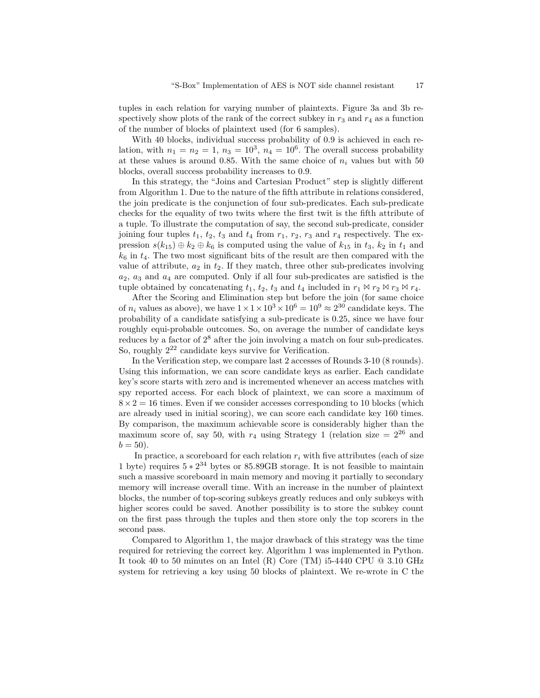tuples in each relation for varying number of plaintexts. Figure 3a and 3b respectively show plots of the rank of the correct subkey in  $r_3$  and  $r_4$  as a function of the number of blocks of plaintext used (for 6 samples).

With 40 blocks, individual success probability of 0*.*9 is achieved in each relation, with  $n_1 = n_2 = 1$ ,  $n_3 = 10^3$ ,  $n_4 = 10^6$ . The overall success probability at these values is around 0.85. With the same choice of  $n_i$  values but with 50 blocks, overall success probability increases to 0*.*9.

In this strategy, the "Joins and Cartesian Product" step is slightly different from Algorithm 1. Due to the nature of the fifth attribute in relations considered, the join predicate is the conjunction of four sub-predicates. Each sub-predicate checks for the equality of two twits where the first twit is the fifth attribute of a tuple. To illustrate the computation of say, the second sub-predicate, consider joining four tuples  $t_1$ ,  $t_2$ ,  $t_3$  and  $t_4$  from  $r_1$ ,  $r_2$ ,  $r_3$  and  $r_4$  respectively. The expression  $s(k_{15}) \oplus k_2 \oplus k_6$  is computed using the value of  $k_{15}$  in  $t_3$ ,  $k_2$  in  $t_1$  and  $k<sub>6</sub>$  in  $t<sub>4</sub>$ . The two most significant bits of the result are then compared with the value of attribute,  $a_2$  in  $t_2$ . If they match, three other sub-predicates involving *a*2, *a*<sup>3</sup> and *a*<sup>4</sup> are computed. Only if all four sub-predicates are satisfied is the tuple obtained by concatenating  $t_1$ ,  $t_2$ ,  $t_3$  and  $t_4$  included in  $r_1 \bowtie r_2 \bowtie r_3 \bowtie r_4$ .

After the Scoring and Elimination step but before the join (for same choice of  $n_i$  values as above), we have  $1 \times 1 \times 10^3 \times 10^6 = 10^9 \approx 2^{30}$  candidate keys. The probability of a candidate satisfying a sub-predicate is 0*.*25, since we have four roughly equi-probable outcomes. So, on average the number of candidate keys reduces by a factor of  $2^8$  after the join involving a match on four sub-predicates. So, roughly  $2^{22}$  candidate keys survive for Verification.

In the Verification step, we compare last 2 accesses of Rounds 3-10 (8 rounds). Using this information, we can score candidate keys as earlier. Each candidate key's score starts with zero and is incremented whenever an access matches with spy reported access. For each block of plaintext, we can score a maximum of  $8 \times 2 = 16$  times. Even if we consider accesses corresponding to 10 blocks (which are already used in initial scoring), we can score each candidate key 160 times. By comparison, the maximum achievable score is considerably higher than the maximum score of, say 50, with  $r_4$  using Strategy 1 (relation size =  $2^{26}$  and  $b = 50$ ).

In practice, a scoreboard for each relation  $r_i$  with five attributes (each of size 1 byte) requires 5 *∗* 2 <sup>34</sup> bytes or 85.89GB storage. It is not feasible to maintain such a massive scoreboard in main memory and moving it partially to secondary memory will increase overall time. With an increase in the number of plaintext blocks, the number of top-scoring subkeys greatly reduces and only subkeys with higher scores could be saved. Another possibility is to store the subkey count on the first pass through the tuples and then store only the top scorers in the second pass.

Compared to Algorithm 1, the major drawback of this strategy was the time required for retrieving the correct key. Algorithm 1 was implemented in Python. It took 40 to 50 minutes on an Intel (R) Core (TM) i5-4440 CPU  $@3.10 \text{ GHz}$ system for retrieving a key using 50 blocks of plaintext. We re-wrote in C the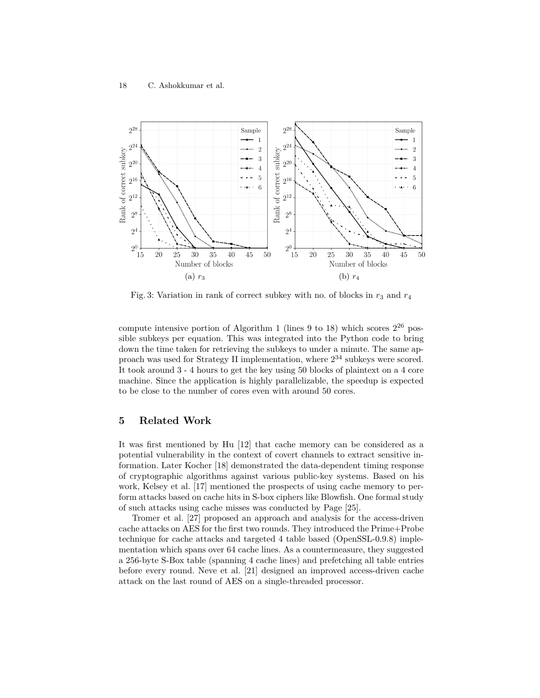

Fig. 3: Variation in rank of correct subkey with no. of blocks in  $r_3$  and  $r_4$ 

compute intensive portion of Algorithm 1 (lines 9 to 18) which scores  $2^{26}$  possible subkeys per equation. This was integrated into the Python code to bring down the time taken for retrieving the subkeys to under a minute. The same approach was used for Strategy II implementation, where  $2^{34}$  subkeys were scored. It took around 3 - 4 hours to get the key using 50 blocks of plaintext on a 4 core machine. Since the application is highly parallelizable, the speedup is expected to be close to the number of cores even with around 50 cores.

# **5 Related Work**

It was first mentioned by Hu [12] that cache memory can be considered as a potential vulnerability in the context of covert channels to extract sensitive information. Later Kocher [18] demonstrated the data-dependent timing response of cryptographic algorithms against various public-key systems. Based on his work, Kelsey et al. [17] mentioned the prospects of using cache memory to perform attacks based on cache hits in S-box ciphers like Blowfish. One formal study of such attacks using cache misses was conducted by Page [25].

Tromer et al. [27] proposed an approach and analysis for the access-driven cache attacks on AES for the first two rounds. They introduced the Prime+Probe technique for cache attacks and targeted 4 table based (OpenSSL-0.9.8) implementation which spans over 64 cache lines. As a countermeasure, they suggested a 256-byte S-Box table (spanning 4 cache lines) and prefetching all table entries before every round. Neve et al. [21] designed an improved access-driven cache attack on the last round of AES on a single-threaded processor.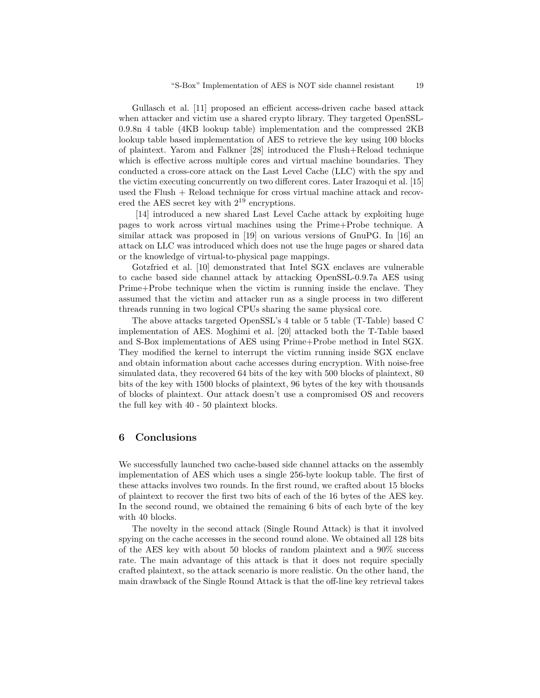Gullasch et al. [11] proposed an efficient access-driven cache based attack when attacker and victim use a shared crypto library. They targeted OpenSSL-0.9.8n 4 table (4KB lookup table) implementation and the compressed 2KB lookup table based implementation of AES to retrieve the key using 100 blocks of plaintext. Yarom and Falkner [28] introduced the Flush+Reload technique which is effective across multiple cores and virtual machine boundaries. They conducted a cross-core attack on the Last Level Cache (LLC) with the spy and the victim executing concurrently on two different cores. Later Irazoqui et al. [15] used the Flush + Reload technique for cross virtual machine attack and recovered the AES secret key with 2 <sup>19</sup> encryptions.

[14] introduced a new shared Last Level Cache attack by exploiting huge pages to work across virtual machines using the Prime+Probe technique. A similar attack was proposed in [19] on various versions of GnuPG. In [16] an attack on LLC was introduced which does not use the huge pages or shared data or the knowledge of virtual-to-physical page mappings.

Gotzfried et al. [10] demonstrated that Intel SGX enclaves are vulnerable to cache based side channel attack by attacking OpenSSL-0.9.7a AES using Prime+Probe technique when the victim is running inside the enclave. They assumed that the victim and attacker run as a single process in two different threads running in two logical CPUs sharing the same physical core.

The above attacks targeted OpenSSL's 4 table or 5 table (T-Table) based C implementation of AES. Moghimi et al. [20] attacked both the T-Table based and S-Box implementations of AES using Prime+Probe method in Intel SGX. They modified the kernel to interrupt the victim running inside SGX enclave and obtain information about cache accesses during encryption. With noise-free simulated data, they recovered 64 bits of the key with 500 blocks of plaintext, 80 bits of the key with 1500 blocks of plaintext, 96 bytes of the key with thousands of blocks of plaintext. Our attack doesn't use a compromised OS and recovers the full key with 40 - 50 plaintext blocks.

## **6 Conclusions**

We successfully launched two cache-based side channel attacks on the assembly implementation of AES which uses a single 256-byte lookup table. The first of these attacks involves two rounds. In the first round, we crafted about 15 blocks of plaintext to recover the first two bits of each of the 16 bytes of the AES key. In the second round, we obtained the remaining 6 bits of each byte of the key with 40 blocks.

The novelty in the second attack (Single Round Attack) is that it involved spying on the cache accesses in the second round alone. We obtained all 128 bits of the AES key with about 50 blocks of random plaintext and a 90% success rate. The main advantage of this attack is that it does not require specially crafted plaintext, so the attack scenario is more realistic. On the other hand, the main drawback of the Single Round Attack is that the off-line key retrieval takes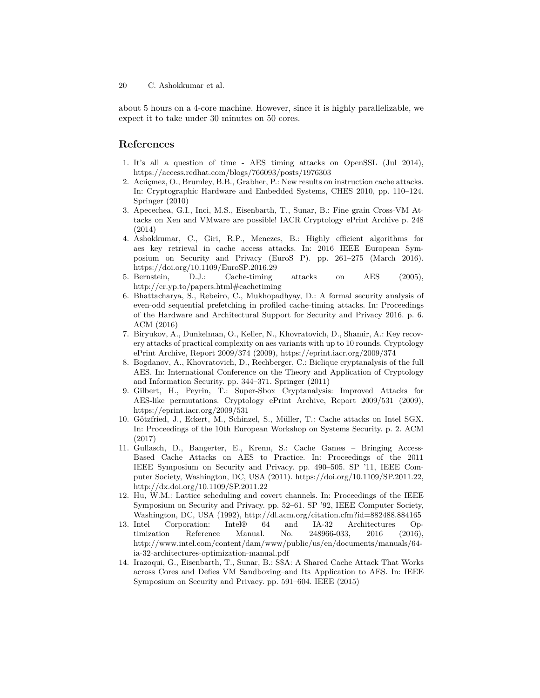about 5 hours on a 4-core machine. However, since it is highly parallelizable, we expect it to take under 30 minutes on 50 cores.

# **References**

- 1. It's all a question of time AES timing attacks on OpenSSL (Jul 2014), https://access.redhat.com/blogs/766093/posts/1976303
- 2. Acıiçmez, O., Brumley, B.B., Grabher, P.: New results on instruction cache attacks. In: Cryptographic Hardware and Embedded Systems, CHES 2010, pp. 110–124. Springer (2010)
- 3. Apecechea, G.I., Inci, M.S., Eisenbarth, T., Sunar, B.: Fine grain Cross-VM Attacks on Xen and VMware are possible! IACR Cryptology ePrint Archive p. 248 (2014)
- 4. Ashokkumar, C., Giri, R.P., Menezes, B.: Highly efficient algorithms for aes key retrieval in cache access attacks. In: 2016 IEEE European Symposium on Security and Privacy (EuroS P). pp. 261–275 (March 2016). https://doi.org/10.1109/EuroSP.2016.29
- 5. Bernstein, D.J.: Cache-timing attacks on AES (2005), http://cr.yp.to/papers.html#cachetiming
- 6. Bhattacharya, S., Rebeiro, C., Mukhopadhyay, D.: A formal security analysis of even-odd sequential prefetching in profiled cache-timing attacks. In: Proceedings of the Hardware and Architectural Support for Security and Privacy 2016. p. 6. ACM (2016)
- 7. Biryukov, A., Dunkelman, O., Keller, N., Khovratovich, D., Shamir, A.: Key recovery attacks of practical complexity on aes variants with up to 10 rounds. Cryptology ePrint Archive, Report 2009/374 (2009), https://eprint.iacr.org/2009/374
- 8. Bogdanov, A., Khovratovich, D., Rechberger, C.: Biclique cryptanalysis of the full AES. In: International Conference on the Theory and Application of Cryptology and Information Security. pp. 344–371. Springer (2011)
- 9. Gilbert, H., Peyrin, T.: Super-Sbox Cryptanalysis: Improved Attacks for AES-like permutations. Cryptology ePrint Archive, Report 2009/531 (2009), https://eprint.iacr.org/2009/531
- 10. Götzfried, J., Eckert, M., Schinzel, S., Müller, T.: Cache attacks on Intel SGX. In: Proceedings of the 10th European Workshop on Systems Security. p. 2. ACM (2017)
- 11. Gullasch, D., Bangerter, E., Krenn, S.: Cache Games Bringing Access-Based Cache Attacks on AES to Practice. In: Proceedings of the 2011 IEEE Symposium on Security and Privacy. pp. 490–505. SP '11, IEEE Computer Society, Washington, DC, USA (2011). https://doi.org/10.1109/SP.2011.22, http://dx.doi.org/10.1109/SP.2011.22
- 12. Hu, W.M.: Lattice scheduling and covert channels. In: Proceedings of the IEEE Symposium on Security and Privacy. pp. 52–61. SP '92, IEEE Computer Society, Washington, DC, USA (1992), http://dl.acm.org/citation.cfm?id=882488.884165<br>Intel Corporation: Intel® 64 and IA-32 Architectures Op-
- 13. Intel Corporation: Intel® 64 and IA-32 Architectures Optimization Reference Manual. No. 248966-033, 2016 (2016), http://www.intel.com/content/dam/www/public/us/en/documents/manuals/64 ia-32-architectures-optimization-manual.pdf
- 14. Irazoqui, G., Eisenbarth, T., Sunar, B.: S\$A: A Shared Cache Attack That Works across Cores and Defies VM Sandboxing–and Its Application to AES. In: IEEE Symposium on Security and Privacy. pp. 591–604. IEEE (2015)